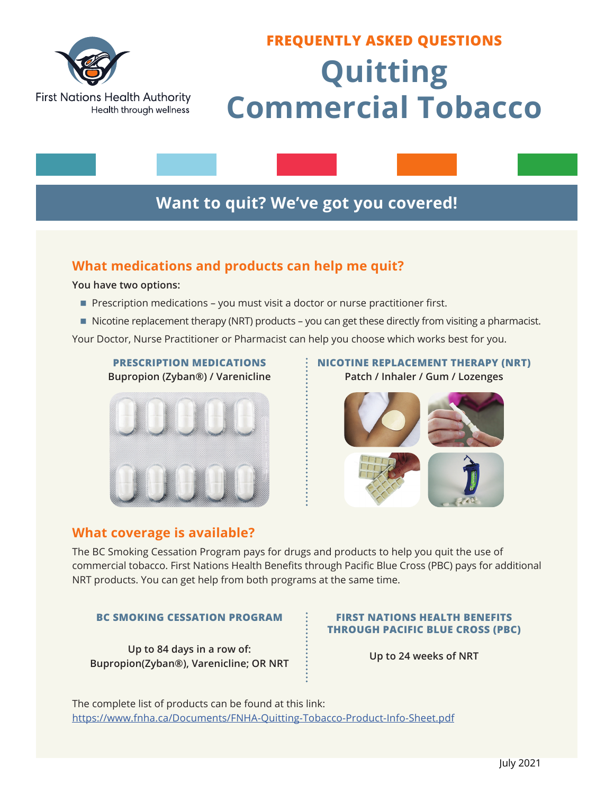

# **FREQUENTLY ASKED QUESTIONS Quitting Commercial Tobacco**

### **Want to quit? We've got you covered!**

### **What medications and products can help me quit?**

**You have two options:**

- Prescription medications you must visit a doctor or nurse practitioner first.
- $\blacksquare$  Nicotine replacement therapy (NRT) products you can get these directly from visiting a pharmacist.

Your Doctor, Nurse Practitioner or Pharmacist can help you choose which works best for you.

### **PRESCRIPTION MEDICATIONS Bupropion (Zyban®) / Varenicline**



### **What coverage is available?**

### **NICOTINE REPLACEMENT THERAPY (NRT) Patch / Inhaler / Gum / Lozenges**



The BC Smoking Cessation Program pays for drugs and products to help you quit the use of commercial tobacco. First Nations Health Benefits through Pacific Blue Cross (PBC) pays for additional NRT products. You can get help from both programs at the same time.

### **BC SMOKING CESSATION PROGRAM FIRST NATIONS HEALTH BENEFITS**

**Up to 84 days in a row of: Bupropion(Zyban®), Varenicline; OR NRT Up to 24 weeks of NRT**

## **THROUGH PACIFIC BLUE CROSS (PBC)**

The complete list of products can be found at this link: <https://www.fnha.ca/Documents/FNHA-Quitting-Tobacco-Product-Info-Sheet.pdf>